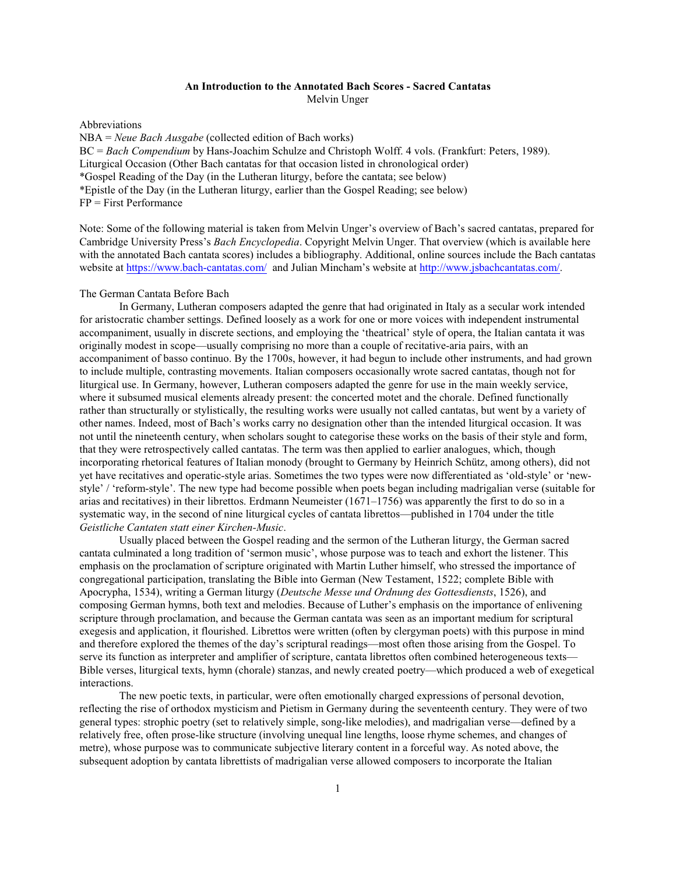#### **An Introduction to the Annotated Bach Scores - Sacred Cantatas** Melvin Unger

Abbreviations

NBA = *Neue Bach Ausgabe* (collected edition of Bach works) BC = *Bach Compendium* by Hans-Joachim Schulze and Christoph Wolff. 4 vols. (Frankfurt: Peters, 1989). Liturgical Occasion (Other Bach cantatas for that occasion listed in chronological order) \*Gospel Reading of the Day (in the Lutheran liturgy, before the cantata; see below) \*Epistle of the Day (in the Lutheran liturgy, earlier than the Gospel Reading; see below) FP = First Performance

Note: Some of the following material is taken from Melvin Unger's overview of Bach's sacred cantatas, prepared for Cambridge University Press's *Bach Encyclopedia*. Copyright Melvin Unger. That overview (which is available here with the annotated Bach cantata scores) includes a bibliography. Additional, online sources include the Bach cantatas website at [https://www.bach-cantatas.com/]((https://www.bach-cantatas.com/) and Julian Mincham's website at<http://www.jsbachcantatas.com/>.

### The German Cantata Before Bach

In Germany, Lutheran composers adapted the genre that had originated in Italy as a secular work intended for aristocratic chamber settings. Defined loosely as a work for one or more voices with independent instrumental accompaniment, usually in discrete sections, and employing the 'theatrical' style of opera, the Italian cantata it was originally modest in scope—usually comprising no more than a couple of recitative-aria pairs, with an accompaniment of basso continuo. By the 1700s, however, it had begun to include other instruments, and had grown to include multiple, contrasting movements. Italian composers occasionally wrote sacred cantatas, though not for liturgical use. In Germany, however, Lutheran composers adapted the genre for use in the main weekly service, where it subsumed musical elements already present: the concerted motet and the chorale. Defined functionally rather than structurally or stylistically, the resulting works were usually not called cantatas, but went by a variety of other names. Indeed, most of Bach's works carry no designation other than the intended liturgical occasion. It was not until the nineteenth century, when scholars sought to categorise these works on the basis of their style and form, that they were retrospectively called cantatas. The term was then applied to earlier analogues, which, though incorporating rhetorical features of Italian monody (brought to Germany by Heinrich Schütz, among others), did not yet have recitatives and operatic-style arias. Sometimes the two types were now differentiated as 'old-style' or 'newstyle' / 'reform-style'. The new type had become possible when poets began including madrigalian verse (suitable for arias and recitatives) in their librettos. Erdmann Neumeister (1671–1756) was apparently the first to do so in a systematic way, in the second of nine liturgical cycles of cantata librettos—published in 1704 under the title *Geistliche Cantaten statt einer Kirchen-Music*.

Usually placed between the Gospel reading and the sermon of the Lutheran liturgy, the German sacred cantata culminated a long tradition of 'sermon music', whose purpose was to teach and exhort the listener. This emphasis on the proclamation of scripture originated with Martin Luther himself, who stressed the importance of congregational participation, translating the Bible into German (New Testament, 1522; complete Bible with Apocrypha, 1534), writing a German liturgy (*Deutsche Messe und Ordnung des Gottesdiensts*, 1526), and composing German hymns, both text and melodies. Because of Luther's emphasis on the importance of enlivening scripture through proclamation, and because the German cantata was seen as an important medium for scriptural exegesis and application, it flourished. Librettos were written (often by clergyman poets) with this purpose in mind and therefore explored the themes of the day's scriptural readings—most often those arising from the Gospel. To serve its function as interpreter and amplifier of scripture, cantata librettos often combined heterogeneous texts— Bible verses, liturgical texts, hymn (chorale) stanzas, and newly created poetry—which produced a web of exegetical interactions.

The new poetic texts, in particular, were often emotionally charged expressions of personal devotion, reflecting the rise of orthodox mysticism and Pietism in Germany during the seventeenth century. They were of two general types: strophic poetry (set to relatively simple, song-like melodies), and madrigalian verse—defined by a relatively free, often prose-like structure (involving unequal line lengths, loose rhyme schemes, and changes of metre), whose purpose was to communicate subjective literary content in a forceful way. As noted above, the subsequent adoption by cantata librettists of madrigalian verse allowed composers to incorporate the Italian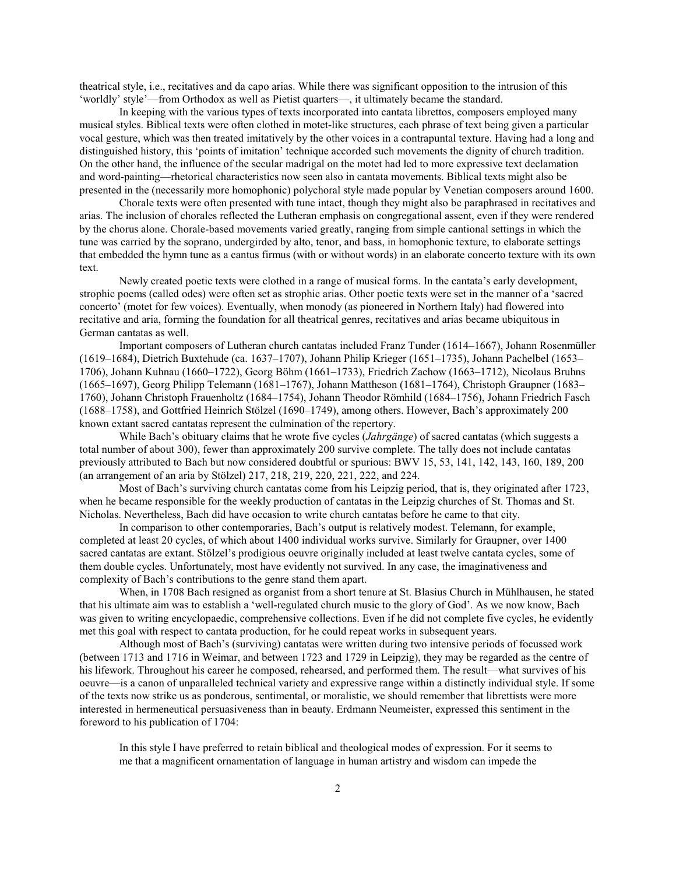theatrical style, i.e., recitatives and da capo arias. While there was significant opposition to the intrusion of this 'worldly' style'—from Orthodox as well as Pietist quarters—, it ultimately became the standard.

In keeping with the various types of texts incorporated into cantata librettos, composers employed many musical styles. Biblical texts were often clothed in motet-like structures, each phrase of text being given a particular vocal gesture, which was then treated imitatively by the other voices in a contrapuntal texture. Having had a long and distinguished history, this 'points of imitation' technique accorded such movements the dignity of church tradition. On the other hand, the influence of the secular madrigal on the motet had led to more expressive text declamation and word-painting—rhetorical characteristics now seen also in cantata movements. Biblical texts might also be presented in the (necessarily more homophonic) polychoral style made popular by Venetian composers around 1600.

Chorale texts were often presented with tune intact, though they might also be paraphrased in recitatives and arias. The inclusion of chorales reflected the Lutheran emphasis on congregational assent, even if they were rendered by the chorus alone. Chorale-based movements varied greatly, ranging from simple cantional settings in which the tune was carried by the soprano, undergirded by alto, tenor, and bass, in homophonic texture, to elaborate settings that embedded the hymn tune as a cantus firmus (with or without words) in an elaborate concerto texture with its own text.

Newly created poetic texts were clothed in a range of musical forms. In the cantata's early development, strophic poems (called odes) were often set as strophic arias. Other poetic texts were set in the manner of a 'sacred concerto' (motet for few voices). Eventually, when monody (as pioneered in Northern Italy) had flowered into recitative and aria, forming the foundation for all theatrical genres, recitatives and arias became ubiquitous in German cantatas as well.

Important composers of Lutheran church cantatas included Franz Tunder (1614–1667), Johann Rosenmüller (1619–1684), Dietrich Buxtehude (ca. 1637–1707), Johann Philip Krieger (1651–1735), Johann Pachelbel (1653– 1706), Johann Kuhnau (1660–1722), Georg Böhm (1661–1733), Friedrich Zachow (1663–1712), Nicolaus Bruhns (1665–1697), Georg Philipp Telemann (1681–1767), Johann Mattheson (1681–1764), Christoph Graupner (1683– 1760), Johann Christoph Frauenholtz (1684–1754), Johann Theodor Römhild (1684–1756), Johann Friedrich Fasch (1688–1758), and Gottfried Heinrich Stölzel (1690–1749), among others. However, Bach's approximately 200 known extant sacred cantatas represent the culmination of the repertory.

While Bach's obituary claims that he wrote five cycles (*Jahrgänge*) of sacred cantatas (which suggests a total number of about 300), fewer than approximately 200 survive complete. The tally does not include cantatas previously attributed to Bach but now considered doubtful or spurious: BWV 15, 53, 141, 142, 143, 160, 189, 200 (an arrangement of an aria by Stölzel) 217, 218, 219, 220, 221, 222, and 224.

Most of Bach's surviving church cantatas come from his Leipzig period, that is, they originated after 1723, when he became responsible for the weekly production of cantatas in the Leipzig churches of St. Thomas and St. Nicholas. Nevertheless, Bach did have occasion to write church cantatas before he came to that city.

In comparison to other contemporaries, Bach's output is relatively modest. Telemann, for example, completed at least 20 cycles, of which about 1400 individual works survive. Similarly for Graupner, over 1400 sacred cantatas are extant. Stölzel's prodigious oeuvre originally included at least twelve cantata cycles, some of them double cycles. Unfortunately, most have evidently not survived. In any case, the imaginativeness and complexity of Bach's contributions to the genre stand them apart.

When, in 1708 Bach resigned as organist from a short tenure at St. Blasius Church in Mühlhausen, he stated that his ultimate aim was to establish a 'well-regulated church music to the glory of God'. As we now know, Bach was given to writing encyclopaedic, comprehensive collections. Even if he did not complete five cycles, he evidently met this goal with respect to cantata production, for he could repeat works in subsequent years.

Although most of Bach's (surviving) cantatas were written during two intensive periods of focussed work (between 1713 and 1716 in Weimar, and between 1723 and 1729 in Leipzig), they may be regarded as the centre of his lifework. Throughout his career he composed, rehearsed, and performed them. The result—what survives of his oeuvre—is a canon of unparalleled technical variety and expressive range within a distinctly individual style. If some of the texts now strike us as ponderous, sentimental, or moralistic, we should remember that librettists were more interested in hermeneutical persuasiveness than in beauty. Erdmann Neumeister, expressed this sentiment in the foreword to his publication of 1704:

In this style I have preferred to retain biblical and theological modes of expression. For it seems to me that a magnificent ornamentation of language in human artistry and wisdom can impede the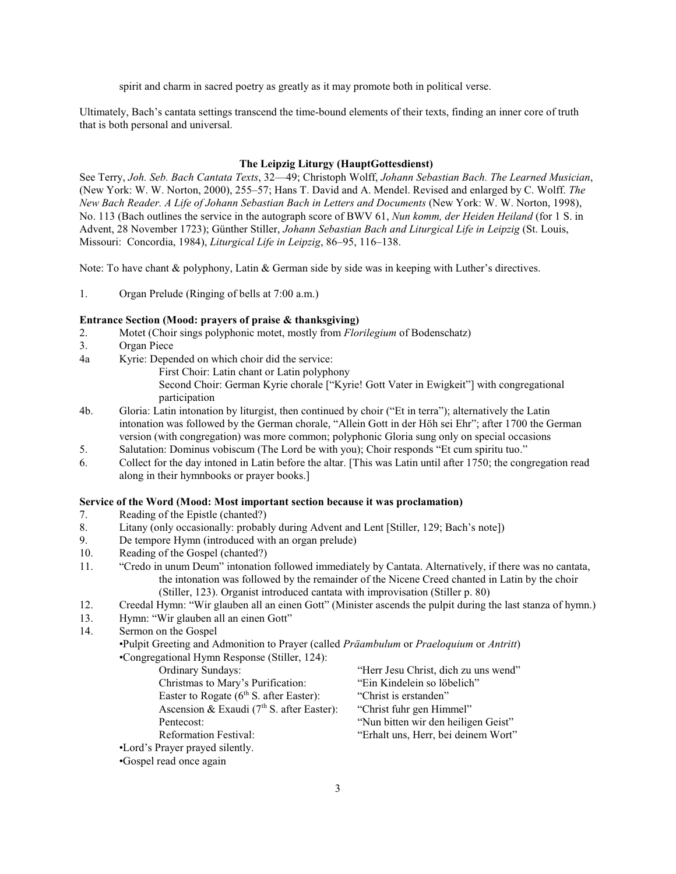spirit and charm in sacred poetry as greatly as it may promote both in political verse.

Ultimately, Bach's cantata settings transcend the time-bound elements of their texts, finding an inner core of truth that is both personal and universal.

# **The Leipzig Liturgy (HauptGottesdienst)**

See Terry, *Joh. Seb. Bach Cantata Texts*, 32—49; Christoph Wolff, *Johann Sebastian Bach. The Learned Musician*, (New York: W. W. Norton, 2000), 255–57; Hans T. David and A. Mendel. Revised and enlarged by C. Wolff. *The New Bach Reader. A Life of Johann Sebastian Bach in Letters and Documents* (New York: W. W. Norton, 1998), No. 113 (Bach outlines the service in the autograph score of BWV 61, *Nun komm, der Heiden Heiland* (for 1 S. in Advent, 28 November 1723); Günther Stiller, *Johann Sebastian Bach and Liturgical Life in Leipzig* (St. Louis, Missouri: Concordia, 1984), *Liturgical Life in Leipzig*, 86–95, 116–138.

Note: To have chant & polyphony, Latin & German side by side was in keeping with Luther's directives.

1. Organ Prelude (Ringing of bells at 7:00 a.m.)

### **Entrance Section (Mood: prayers of praise & thanksgiving)**

- 2. Motet (Choir sings polyphonic motet, mostly from *Florilegium* of Bodenschatz)
- 3. Organ Piece
- 4a Kyrie: Depended on which choir did the service:
	- First Choir: Latin chant or Latin polyphony

Second Choir: German Kyrie chorale ["Kyrie! Gott Vater in Ewigkeit"] with congregational participation

- 4b. Gloria: Latin intonation by liturgist, then continued by choir ("Et in terra"); alternatively the Latin intonation was followed by the German chorale, "Allein Gott in der Höh sei Ehr"; after 1700 the German version (with congregation) was more common; polyphonic Gloria sung only on special occasions
- 5. Salutation: Dominus vobiscum (The Lord be with you); Choir responds "Et cum spiritu tuo."
- 6. Collect for the day intoned in Latin before the altar. [This was Latin until after 1750; the congregation read along in their hymnbooks or prayer books.]

## **Service of the Word (Mood: Most important section because it was proclamation)**

- 7. Reading of the Epistle (chanted?)
- 8. Litany (only occasionally: probably during Advent and Lent [Stiller, 129; Bach's note])
- 9. De tempore Hymn (introduced with an organ prelude)
- 10. Reading of the Gospel (chanted?)
- 11. "Credo in unum Deum" intonation followed immediately by Cantata. Alternatively, if there was no cantata, the intonation was followed by the remainder of the Nicene Creed chanted in Latin by the choir (Stiller, 123). Organist introduced cantata with improvisation (Stiller p. 80)
- 12. Creedal Hymn: "Wir glauben all an einen Gott" (Minister ascends the pulpit during the last stanza of hymn.)
- 13. Hymn: "Wir glauben all an einen Gott"
- 14. Sermon on the Gospel

•Pulpit Greeting and Admonition to Prayer (called *Präambulum* or *Praeloquium* or *Antritt*)

•Congregational Hymn Response (Stiller, 124): "Herr Jesu Christ, dich zu uns wend" Christmas to Mary's Purification: "Ein Kindelein so löbelich" Easter to Rogate  $(6<sup>th</sup> S.$  after Easter): "Christ is erstanden" Ascension & Exaudi ( $7<sup>th</sup>$  S. after Easter): "Christ fuhr gen Himmel" Pentecost: "Nun bitten wir den heiligen Geist" Reformation Festival: "Erhalt uns, Herr, bei deinem Wort"

•Lord's Prayer prayed silently.

•Gospel read once again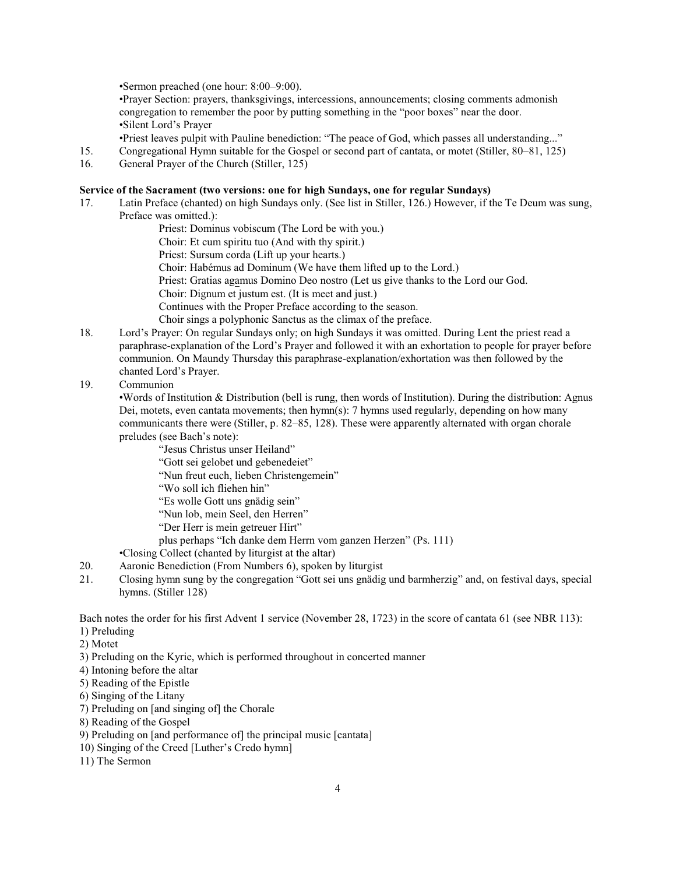•Sermon preached (one hour: 8:00–9:00).

•Prayer Section: prayers, thanksgivings, intercessions, announcements; closing comments admonish congregation to remember the poor by putting something in the "poor boxes" near the door. •Silent Lord's Prayer

•Priest leaves pulpit with Pauline benediction: "The peace of God, which passes all understanding..."

- 15. Congregational Hymn suitable for the Gospel or second part of cantata, or motet (Stiller, 80–81, 125)
- 16. General Prayer of the Church (Stiller, 125)

## **Service of the Sacrament (two versions: one for high Sundays, one for regular Sundays)**

- 17. Latin Preface (chanted) on high Sundays only. (See list in Stiller, 126.) However, if the Te Deum was sung, Preface was omitted.):
	- Priest: Dominus vobiscum (The Lord be with you.)
	- Choir: Et cum spiritu tuo (And with thy spirit.)
	- Priest: Sursum corda (Lift up your hearts.)
	- Choir: Habémus ad Dominum (We have them lifted up to the Lord.)
	- Priest: Gratias agamus Domino Deo nostro (Let us give thanks to the Lord our God.

Choir: Dignum et justum est. (It is meet and just.)

Continues with the Proper Preface according to the season.

Choir sings a polyphonic Sanctus as the climax of the preface.

18. Lord's Prayer: On regular Sundays only; on high Sundays it was omitted. During Lent the priest read a paraphrase-explanation of the Lord's Prayer and followed it with an exhortation to people for prayer before communion. On Maundy Thursday this paraphrase-explanation/exhortation was then followed by the chanted Lord's Prayer.

# 19. Communion

•Words of Institution & Distribution (bell is rung, then words of Institution). During the distribution: Agnus Dei, motets, even cantata movements; then hymn(s): 7 hymns used regularly, depending on how many communicants there were (Stiller, p. 82–85, 128). These were apparently alternated with organ chorale preludes (see Bach's note):

- "Jesus Christus unser Heiland"
- "Gott sei gelobet und gebenedeiet"
- "Nun freut euch, lieben Christengemein"

"Wo soll ich fliehen hin"

- "Es wolle Gott uns gnädig sein"
- "Nun lob, mein Seel, den Herren"
- "Der Herr is mein getreuer Hirt"
- plus perhaps "Ich danke dem Herrn vom ganzen Herzen" (Ps. 111)
- •Closing Collect (chanted by liturgist at the altar)
- 20. Aaronic Benediction (From Numbers 6), spoken by liturgist
- 21. Closing hymn sung by the congregation "Gott sei uns gnädig und barmherzig" and, on festival days, special hymns. (Stiller 128)

Bach notes the order for his first Advent 1 service (November 28, 1723) in the score of cantata 61 (see NBR 113): 1) Preluding

- 2) Motet
- 3) Preluding on the Kyrie, which is performed throughout in concerted manner
- 4) Intoning before the altar
- 5) Reading of the Epistle
- 6) Singing of the Litany
- 7) Preluding on [and singing of] the Chorale
- 8) Reading of the Gospel
- 9) Preluding on [and performance of] the principal music [cantata]
- 10) Singing of the Creed [Luther's Credo hymn]
- 11) The Sermon